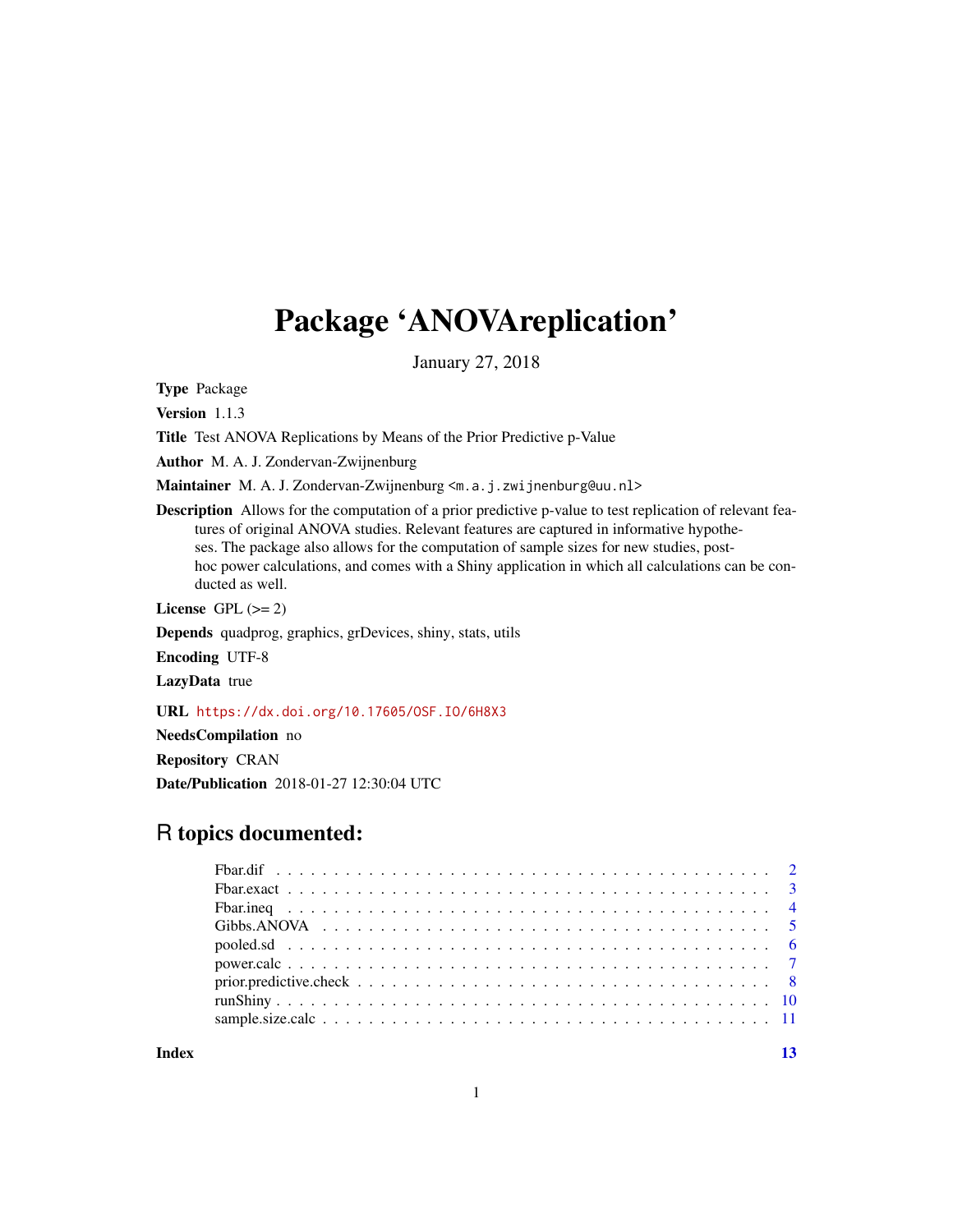## Package 'ANOVAreplication'

January 27, 2018

Type Package

Version 1.1.3

Title Test ANOVA Replications by Means of the Prior Predictive p-Value

Author M. A. J. Zondervan-Zwijnenburg

Maintainer M. A. J. Zondervan-Zwijnenburg <m.a.j.zwijnenburg@uu.nl>

Description Allows for the computation of a prior predictive p-value to test replication of relevant features of original ANOVA studies. Relevant features are captured in informative hypotheses. The package also allows for the computation of sample sizes for new studies, posthoc power calculations, and comes with a Shiny application in which all calculations can be conducted as well.

License GPL  $(>= 2)$ 

Depends quadprog, graphics, grDevices, shiny, stats, utils

Encoding UTF-8

LazyData true

URL <https://dx.doi.org/10.17605/OSF.IO/6H8X3>

NeedsCompilation no

Repository CRAN Date/Publication 2018-01-27 12:30:04 UTC

## R topics documented:

**Index** [13](#page-12-0)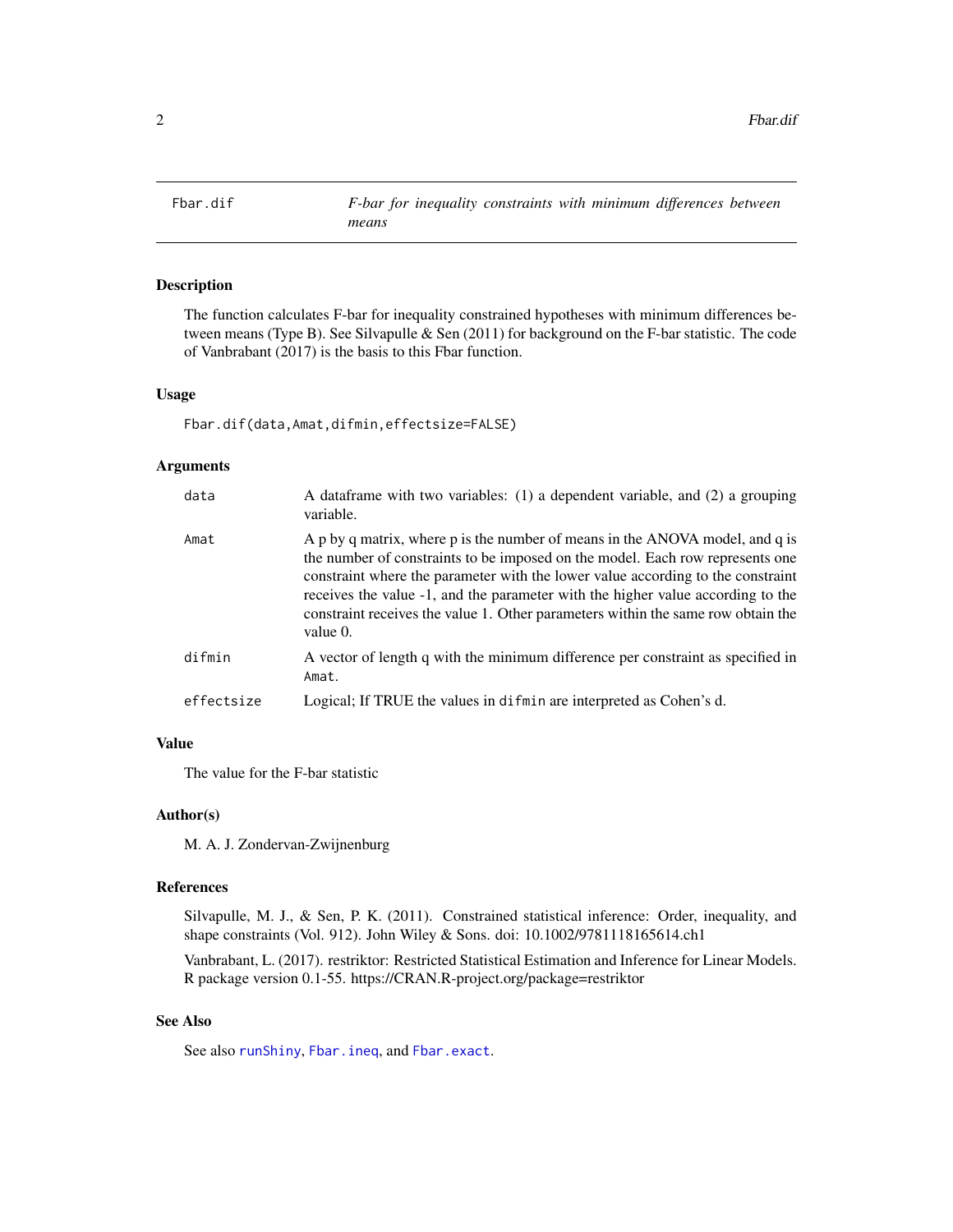<span id="page-1-1"></span><span id="page-1-0"></span>

## Description

The function calculates F-bar for inequality constrained hypotheses with minimum differences between means (Type B). See Silvapulle & Sen (2011) for background on the F-bar statistic. The code of Vanbrabant (2017) is the basis to this Fbar function.

## Usage

Fbar.dif(data,Amat,difmin,effectsize=FALSE)

## Arguments

| data       | A dataframe with two variables: (1) a dependent variable, and (2) a grouping<br>variable.                                                                                                                                                                                                                                                                                                                                           |
|------------|-------------------------------------------------------------------------------------------------------------------------------------------------------------------------------------------------------------------------------------------------------------------------------------------------------------------------------------------------------------------------------------------------------------------------------------|
| Amat       | A p by q matrix, where p is the number of means in the ANOVA model, and q is<br>the number of constraints to be imposed on the model. Each row represents one<br>constraint where the parameter with the lower value according to the constraint<br>receives the value -1, and the parameter with the higher value according to the<br>constraint receives the value 1. Other parameters within the same row obtain the<br>value 0. |
| difmin     | A vector of length q with the minimum difference per constraint as specified in<br>Amat.                                                                                                                                                                                                                                                                                                                                            |
| effectsize | Logical; If TRUE the values in difmin are interpreted as Cohen's d.                                                                                                                                                                                                                                                                                                                                                                 |

## Value

The value for the F-bar statistic

#### Author(s)

M. A. J. Zondervan-Zwijnenburg

#### References

Silvapulle, M. J., & Sen, P. K. (2011). Constrained statistical inference: Order, inequality, and shape constraints (Vol. 912). John Wiley & Sons. doi: 10.1002/9781118165614.ch1

Vanbrabant, L. (2017). restriktor: Restricted Statistical Estimation and Inference for Linear Models. R package version 0.1-55. https://CRAN.R-project.org/package=restriktor

## See Also

See also [runShiny](#page-9-1), [Fbar.ineq](#page-3-1), and [Fbar.exact](#page-2-1).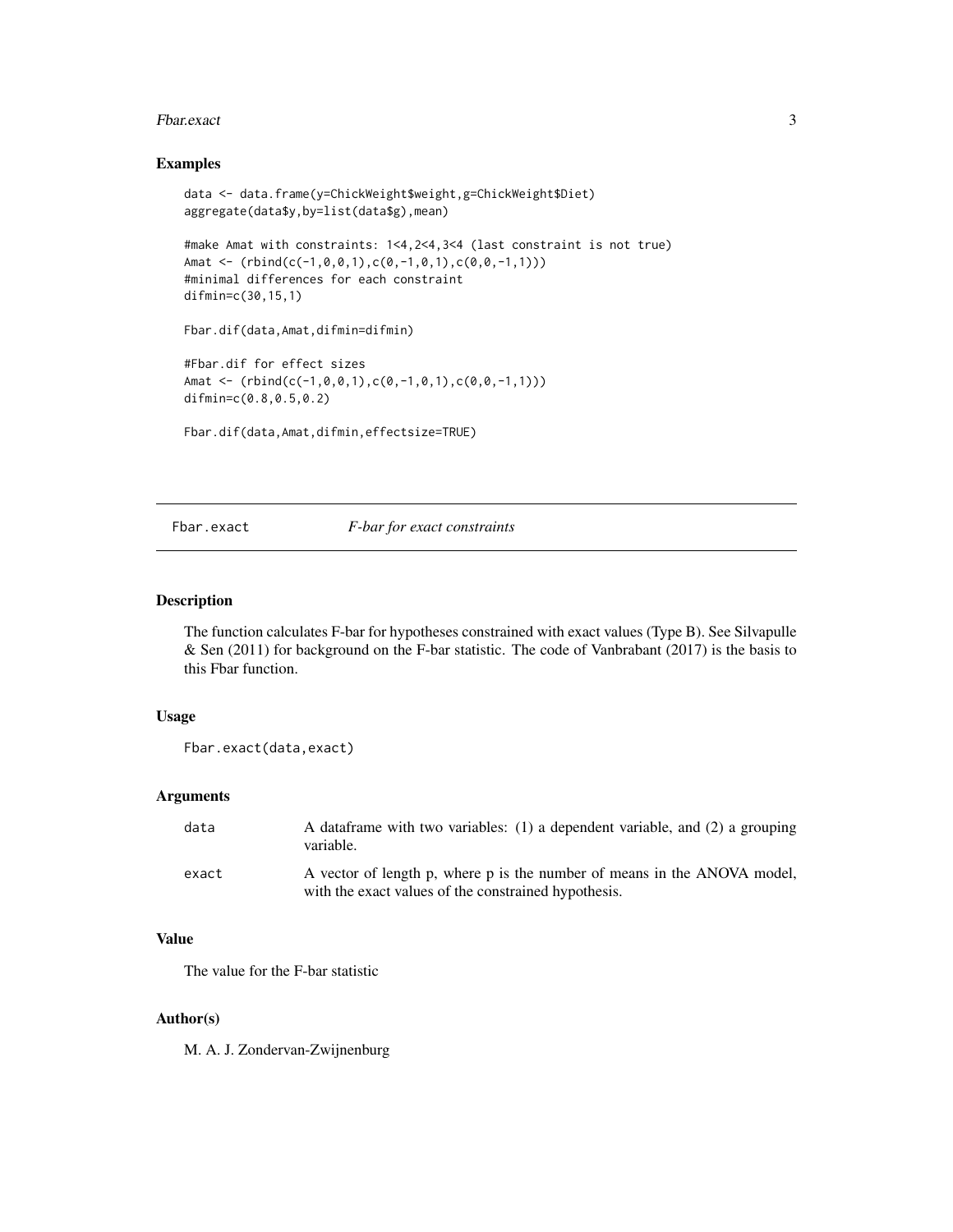#### <span id="page-2-0"></span>Fbar.exact 3

## Examples

```
data <- data.frame(y=ChickWeight$weight,g=ChickWeight$Diet)
aggregate(data$y,by=list(data$g),mean)
#make Amat with constraints: 1<4,2<4,3<4 (last constraint is not true)
Amat \leq (rbind(c(-1,0,0,1),c(0,-1,0,1),c(0,0,-1,1)))
#minimal differences for each constraint
difmin=c(30,15,1)
Fbar.dif(data,Amat,difmin=difmin)
#Fbar.dif for effect sizes
Amat <- (rbind(c(-1,0,0,1),c(0,-1,0,1),c(0,0,-1,1)))
difmin=c(0.8,0.5,0.2)
Fbar.dif(data,Amat,difmin,effectsize=TRUE)
```
#### <span id="page-2-1"></span>Fbar.exact *F-bar for exact constraints*

## Description

The function calculates F-bar for hypotheses constrained with exact values (Type B). See Silvapulle & Sen (2011) for background on the F-bar statistic. The code of Vanbrabant (2017) is the basis to this Fbar function.

## Usage

```
Fbar.exact(data,exact)
```
#### Arguments

| data  | A dataframe with two variables: (1) a dependent variable, and (2) a grouping<br>variable.                                        |
|-------|----------------------------------------------------------------------------------------------------------------------------------|
| exact | A vector of length p, where p is the number of means in the ANOVA model,<br>with the exact values of the constrained hypothesis. |

## Value

The value for the F-bar statistic

#### Author(s)

M. A. J. Zondervan-Zwijnenburg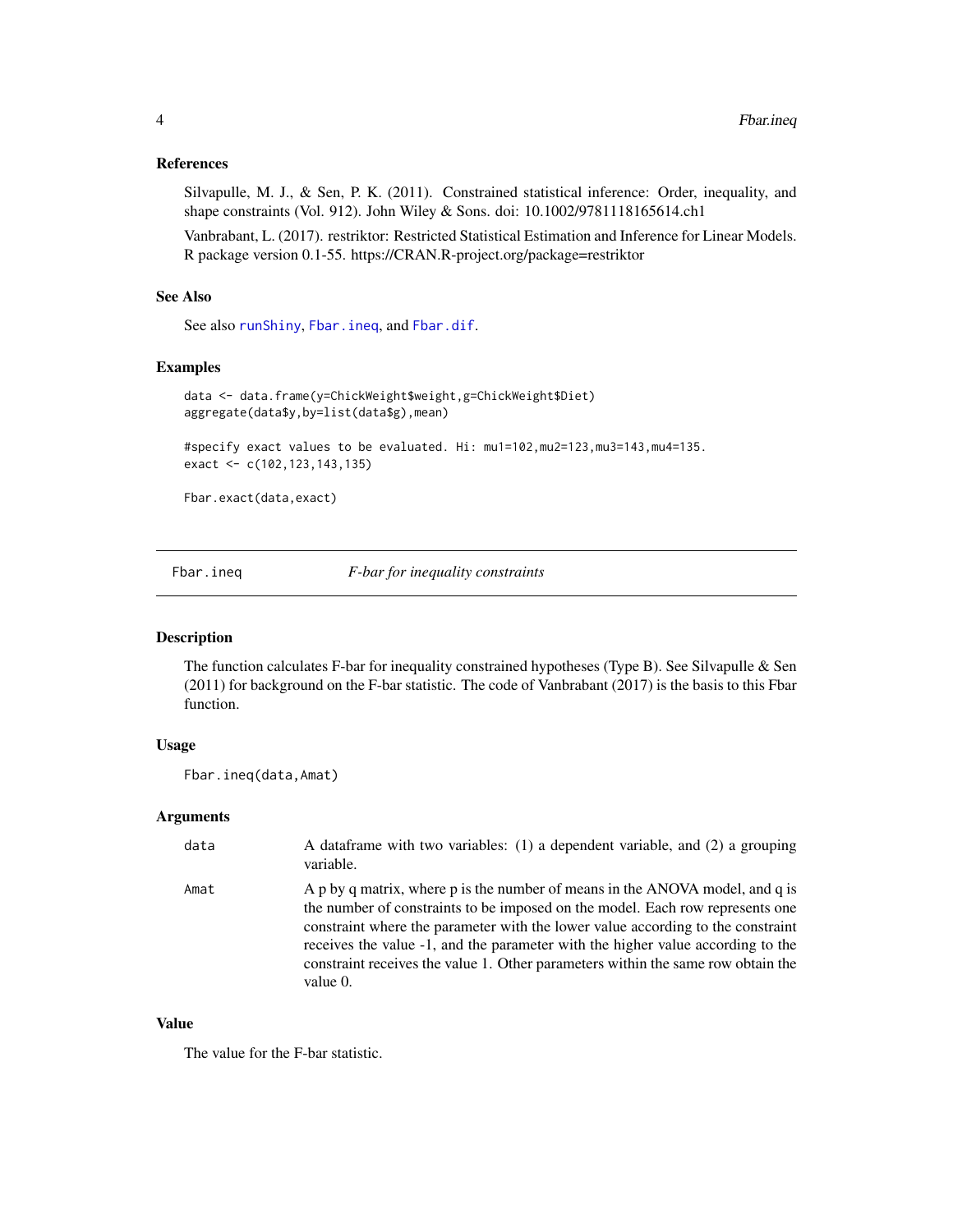## <span id="page-3-0"></span>References

Silvapulle, M. J., & Sen, P. K. (2011). Constrained statistical inference: Order, inequality, and shape constraints (Vol. 912). John Wiley & Sons. doi: 10.1002/9781118165614.ch1

Vanbrabant, L. (2017). restriktor: Restricted Statistical Estimation and Inference for Linear Models. R package version 0.1-55. https://CRAN.R-project.org/package=restriktor

## See Also

See also [runShiny](#page-9-1), [Fbar.ineq](#page-3-1), and [Fbar.dif](#page-1-1).

## Examples

```
data <- data.frame(y=ChickWeight$weight,g=ChickWeight$Diet)
aggregate(data$y,by=list(data$g),mean)
```
#specify exact values to be evaluated. Hi: mu1=102,mu2=123,mu3=143,mu4=135. exact <- c(102,123,143,135)

Fbar.exact(data,exact)

<span id="page-3-1"></span>Fbar.ineq *F-bar for inequality constraints*

## Description

The function calculates F-bar for inequality constrained hypotheses (Type B). See Silvapulle & Sen (2011) for background on the F-bar statistic. The code of Vanbrabant (2017) is the basis to this Fbar function.

## Usage

Fbar.ineq(data,Amat)

#### Arguments

| data | A dataframe with two variables: (1) a dependent variable, and (2) a grouping<br>variable.                                                                                                                                                                                                                                                                                                                                           |
|------|-------------------------------------------------------------------------------------------------------------------------------------------------------------------------------------------------------------------------------------------------------------------------------------------------------------------------------------------------------------------------------------------------------------------------------------|
| Amat | A p by q matrix, where p is the number of means in the ANOVA model, and q is<br>the number of constraints to be imposed on the model. Each row represents one<br>constraint where the parameter with the lower value according to the constraint<br>receives the value -1, and the parameter with the higher value according to the<br>constraint receives the value 1. Other parameters within the same row obtain the<br>value 0. |

## Value

The value for the F-bar statistic.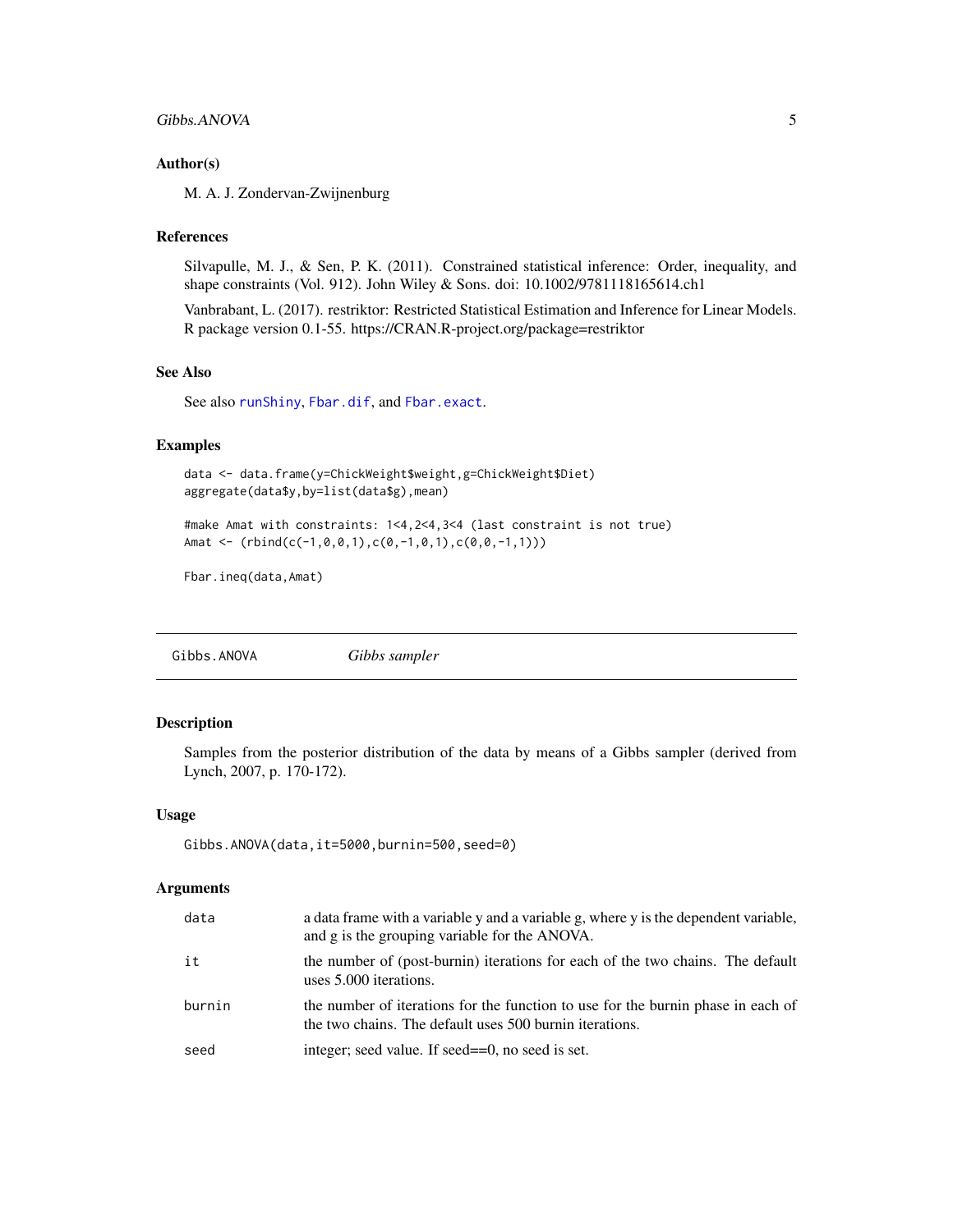## <span id="page-4-0"></span>Gibbs.ANOVA 5

## Author(s)

M. A. J. Zondervan-Zwijnenburg

## References

Silvapulle, M. J., & Sen, P. K. (2011). Constrained statistical inference: Order, inequality, and shape constraints (Vol. 912). John Wiley & Sons. doi: 10.1002/9781118165614.ch1

Vanbrabant, L. (2017). restriktor: Restricted Statistical Estimation and Inference for Linear Models. R package version 0.1-55. https://CRAN.R-project.org/package=restriktor

## See Also

See also [runShiny](#page-9-1), [Fbar.dif](#page-1-1), and [Fbar.exact](#page-2-1).

## Examples

data <- data.frame(y=ChickWeight\$weight,g=ChickWeight\$Diet) aggregate(data\$y,by=list(data\$g),mean)

#make Amat with constraints: 1<4,2<4,3<4 (last constraint is not true) Amat <- (rbind(c(-1,0,0,1),c(0,-1,0,1),c(0,0,-1,1)))

```
Fbar.ineq(data,Amat)
```
<span id="page-4-1"></span>Gibbs.ANOVA *Gibbs sampler*

#### Description

Samples from the posterior distribution of the data by means of a Gibbs sampler (derived from Lynch, 2007, p. 170-172).

#### Usage

Gibbs.ANOVA(data,it=5000,burnin=500,seed=0)

#### **Arguments**

| data   | a data frame with a variable y and a variable g, where y is the dependent variable,<br>and g is the grouping variable for the ANOVA.        |
|--------|---------------------------------------------------------------------------------------------------------------------------------------------|
| it     | the number of (post-burnin) iterations for each of the two chains. The default<br>uses 5.000 iterations.                                    |
| burnin | the number of iterations for the function to use for the burnin phase in each of<br>the two chains. The default uses 500 burnin iterations. |
| seed   | integer; seed value. If seed==0, no seed is set.                                                                                            |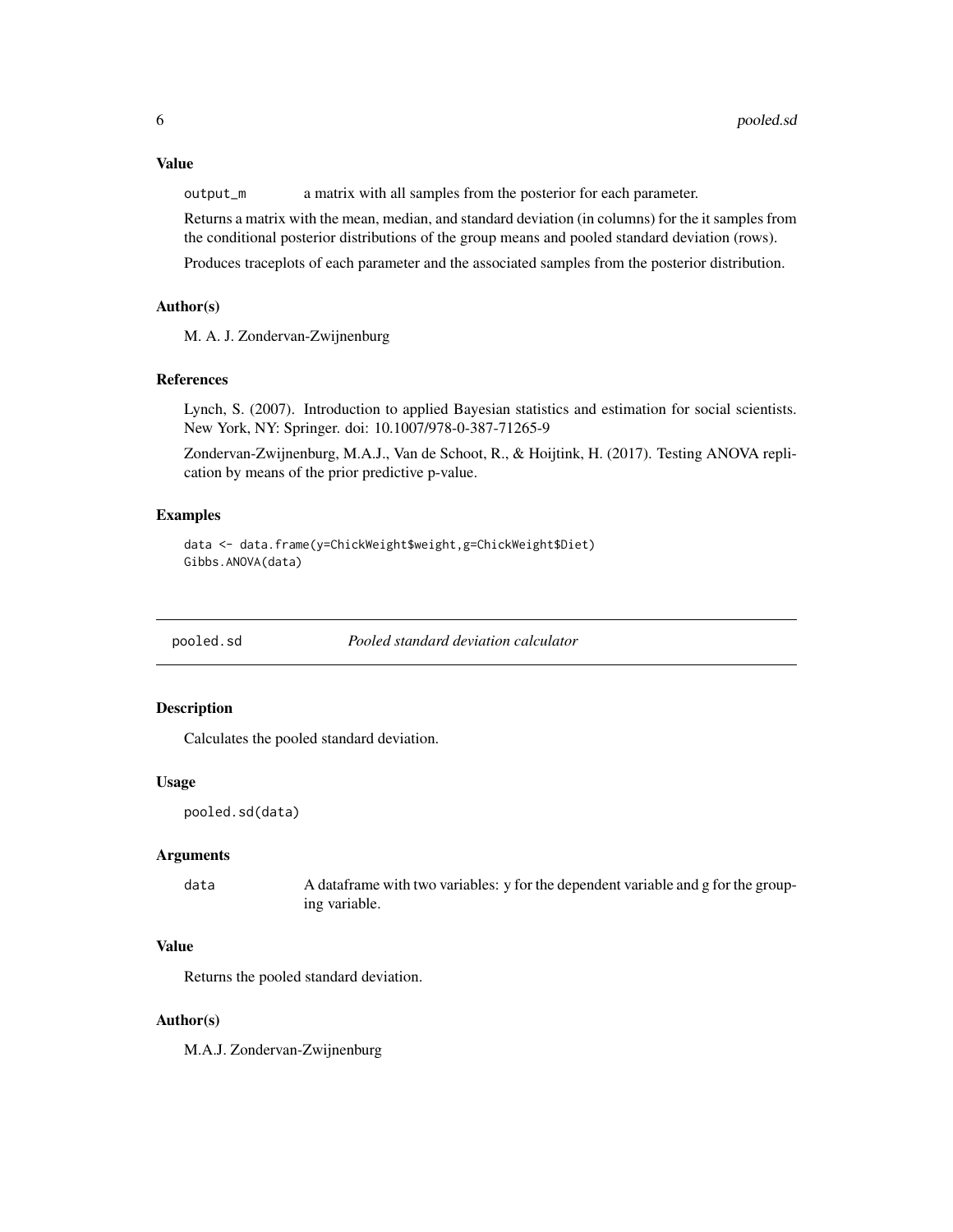<span id="page-5-0"></span>output\_m a matrix with all samples from the posterior for each parameter.

Returns a matrix with the mean, median, and standard deviation (in columns) for the it samples from the conditional posterior distributions of the group means and pooled standard deviation (rows).

Produces traceplots of each parameter and the associated samples from the posterior distribution.

## Author(s)

M. A. J. Zondervan-Zwijnenburg

## References

Lynch, S. (2007). Introduction to applied Bayesian statistics and estimation for social scientists. New York, NY: Springer. doi: 10.1007/978-0-387-71265-9

Zondervan-Zwijnenburg, M.A.J., Van de Schoot, R., & Hoijtink, H. (2017). Testing ANOVA replication by means of the prior predictive p-value.

## Examples

```
data <- data.frame(y=ChickWeight$weight,g=ChickWeight$Diet)
Gibbs.ANOVA(data)
```
pooled.sd *Pooled standard deviation calculator*

## Description

Calculates the pooled standard deviation.

#### Usage

```
pooled.sd(data)
```
## Arguments

```
data A dataframe with two variables: y for the dependent variable and g for the group-
                 ing variable.
```
## Value

Returns the pooled standard deviation.

#### Author(s)

M.A.J. Zondervan-Zwijnenburg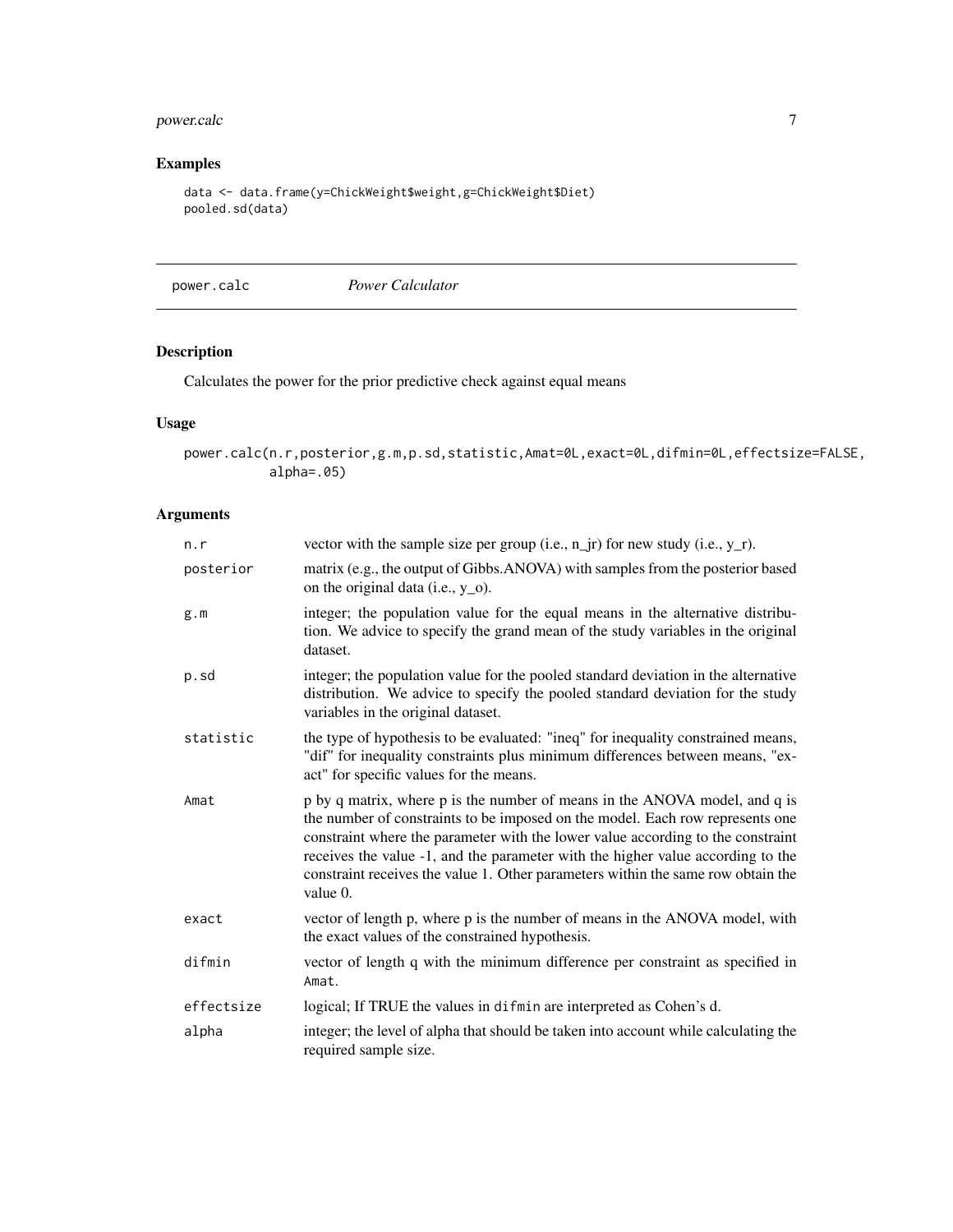## <span id="page-6-0"></span>power.calc 7

## Examples

```
data <- data.frame(y=ChickWeight$weight,g=ChickWeight$Diet)
pooled.sd(data)
```
<span id="page-6-1"></span>power.calc *Power Calculator*

## Description

Calculates the power for the prior predictive check against equal means

## Usage

power.calc(n.r,posterior,g.m,p.sd,statistic,Amat=0L,exact=0L,difmin=0L,effectsize=FALSE, alpha=.05)

## Arguments

| n.r        | vector with the sample size per group (i.e., $n$ _jr) for new study (i.e., $y$ _r).                                                                                                                                                                                                                                                                                                                                               |
|------------|-----------------------------------------------------------------------------------------------------------------------------------------------------------------------------------------------------------------------------------------------------------------------------------------------------------------------------------------------------------------------------------------------------------------------------------|
| posterior  | matrix (e.g., the output of Gibbs.ANOVA) with samples from the posterior based<br>on the original data (i.e., $y_0$ ).                                                                                                                                                                                                                                                                                                            |
| g.m        | integer; the population value for the equal means in the alternative distribu-<br>tion. We advice to specify the grand mean of the study variables in the original<br>dataset.                                                                                                                                                                                                                                                    |
| p.sd       | integer; the population value for the pooled standard deviation in the alternative<br>distribution. We advice to specify the pooled standard deviation for the study<br>variables in the original dataset.                                                                                                                                                                                                                        |
| statistic  | the type of hypothesis to be evaluated: "ineq" for inequality constrained means,<br>"dif" for inequality constraints plus minimum differences between means, "ex-<br>act" for specific values for the means.                                                                                                                                                                                                                      |
| Amat       | p by q matrix, where p is the number of means in the ANOVA model, and q is<br>the number of constraints to be imposed on the model. Each row represents one<br>constraint where the parameter with the lower value according to the constraint<br>receives the value -1, and the parameter with the higher value according to the<br>constraint receives the value 1. Other parameters within the same row obtain the<br>value 0. |
| exact      | vector of length p, where p is the number of means in the ANOVA model, with<br>the exact values of the constrained hypothesis.                                                                                                                                                                                                                                                                                                    |
| difmin     | vector of length q with the minimum difference per constraint as specified in<br>Amat.                                                                                                                                                                                                                                                                                                                                            |
| effectsize | logical; If TRUE the values in difmin are interpreted as Cohen's d.                                                                                                                                                                                                                                                                                                                                                               |
| alpha      | integer; the level of alpha that should be taken into account while calculating the<br>required sample size.                                                                                                                                                                                                                                                                                                                      |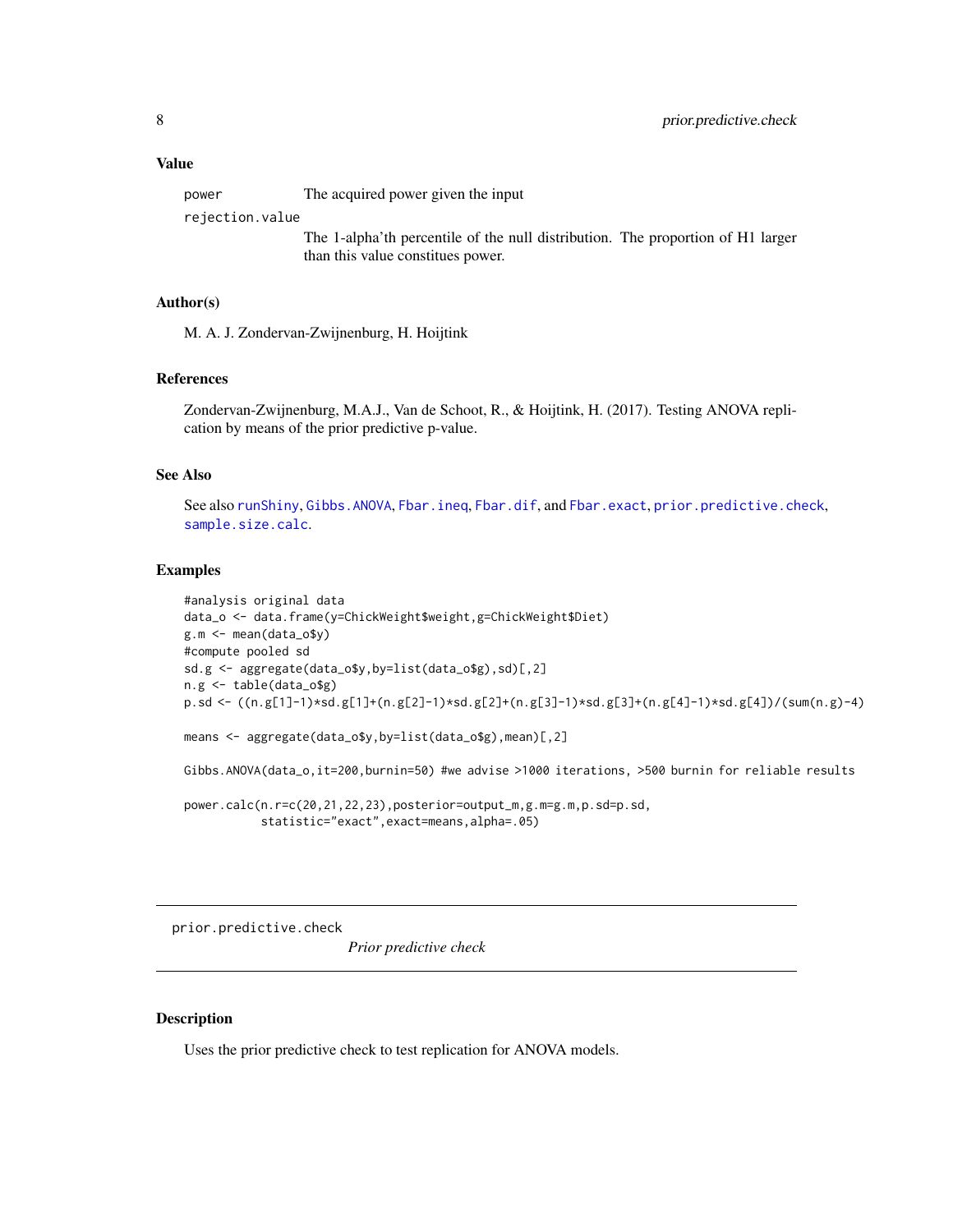## <span id="page-7-0"></span>Value

| power | The acquired power given the input |
|-------|------------------------------------|
|       |                                    |

rejection.value

The 1-alpha'th percentile of the null distribution. The proportion of H1 larger than this value constitues power.

## Author(s)

M. A. J. Zondervan-Zwijnenburg, H. Hoijtink

## References

Zondervan-Zwijnenburg, M.A.J., Van de Schoot, R., & Hoijtink, H. (2017). Testing ANOVA replication by means of the prior predictive p-value.

## See Also

See also [runShiny](#page-9-1), [Gibbs.ANOVA](#page-4-1), [Fbar.ineq](#page-3-1), [Fbar.dif](#page-1-1), and [Fbar.exact](#page-2-1), [prior.predictive.check](#page-7-1), [sample.size.calc](#page-10-1).

## Examples

```
#analysis original data
data_o <- data.frame(y=ChickWeight$weight,g=ChickWeight$Diet)
g.m <- mean(data_o$y)
#compute pooled sd
sd.g <- aggregate(data_o$y,by=list(data_o$g),sd)[,2]
n.g <- table(data_o$g)
p.sd <- ((n.g[1]-1)*sd.g[1]+(n.g[2]-1)*sd.g[2]+(n.g[3]-1)*sd.g[3]+(n.g[4]-1)*sd.g[4])/(sum(n.g)-4)
means <- aggregate(data_o$y,by=list(data_o$g),mean)[,2]
Gibbs.ANOVA(data_o,it=200,burnin=50) #we advise >1000 iterations, >500 burnin for reliable results
power.calc(n.r=c(20,21,22,23),posterior=output_m,g.m=g.m,p.sd=p.sd,
           statistic="exact",exact=means,alpha=.05)
```
<span id="page-7-1"></span>prior.predictive.check

*Prior predictive check*

## Description

Uses the prior predictive check to test replication for ANOVA models.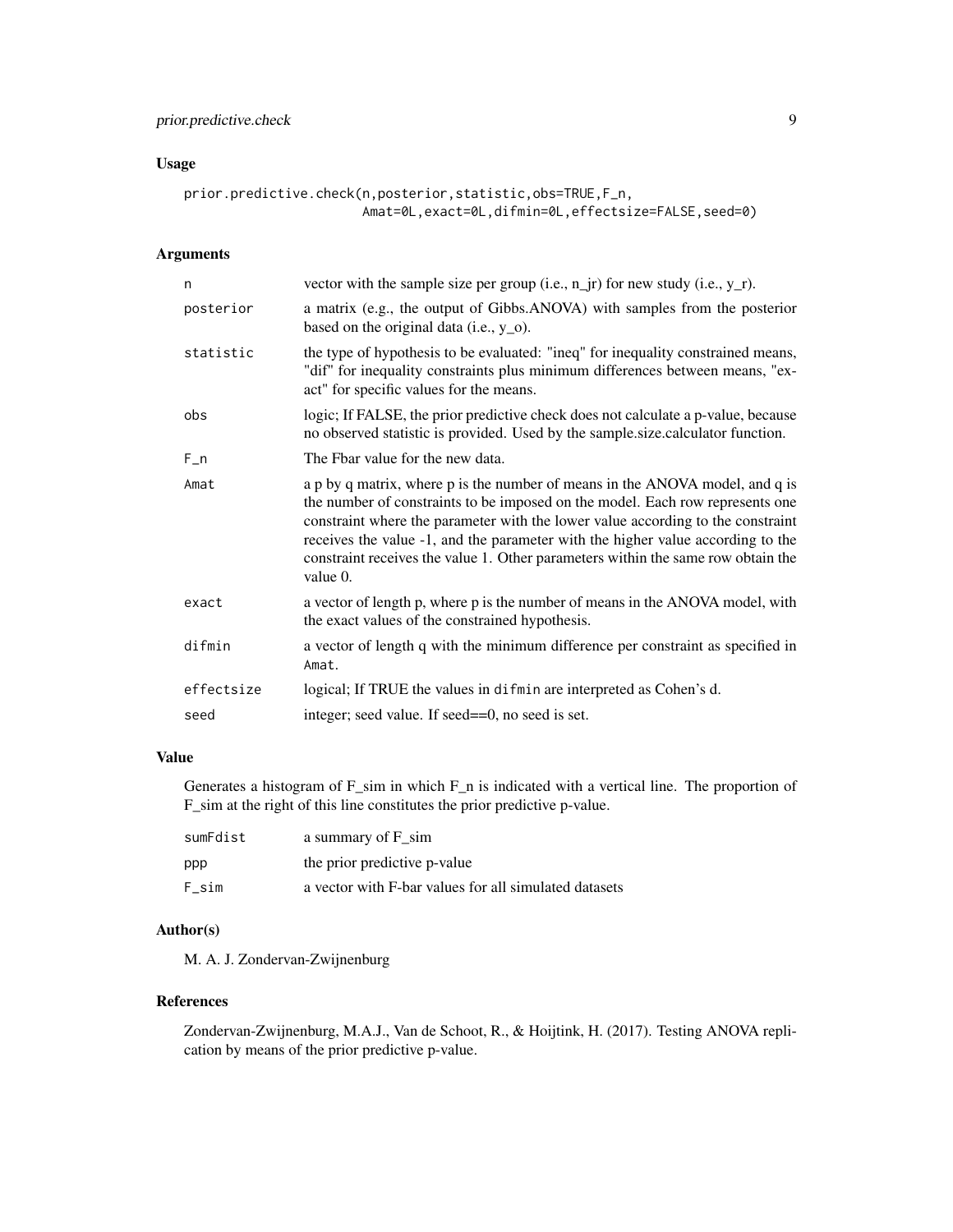## prior.predictive.check 9

## Usage

```
prior.predictive.check(n,posterior,statistic,obs=TRUE,F_n,
                       Amat=0L,exact=0L,difmin=0L,effectsize=FALSE,seed=0)
```
## Arguments

| n          | vector with the sample size per group (i.e., $n_{i}$ jr) for new study (i.e., $y_{i}$ r).                                                                                                                                                                                                                                                                                                                                           |
|------------|-------------------------------------------------------------------------------------------------------------------------------------------------------------------------------------------------------------------------------------------------------------------------------------------------------------------------------------------------------------------------------------------------------------------------------------|
| posterior  | a matrix (e.g., the output of Gibbs.ANOVA) with samples from the posterior<br>based on the original data (i.e., $y_0$ ).                                                                                                                                                                                                                                                                                                            |
| statistic  | the type of hypothesis to be evaluated: "ineq" for inequality constrained means,<br>"dif" for inequality constraints plus minimum differences between means, "ex-<br>act" for specific values for the means.                                                                                                                                                                                                                        |
| obs        | logic; If FALSE, the prior predictive check does not calculate a p-value, because<br>no observed statistic is provided. Used by the sample.size.calculator function.                                                                                                                                                                                                                                                                |
| $F_n$      | The Fbar value for the new data.                                                                                                                                                                                                                                                                                                                                                                                                    |
| Amat       | a p by q matrix, where p is the number of means in the ANOVA model, and q is<br>the number of constraints to be imposed on the model. Each row represents one<br>constraint where the parameter with the lower value according to the constraint<br>receives the value -1, and the parameter with the higher value according to the<br>constraint receives the value 1. Other parameters within the same row obtain the<br>value 0. |
| exact      | a vector of length p, where p is the number of means in the ANOVA model, with<br>the exact values of the constrained hypothesis.                                                                                                                                                                                                                                                                                                    |
| difmin     | a vector of length q with the minimum difference per constraint as specified in<br>Amat.                                                                                                                                                                                                                                                                                                                                            |
| effectsize | logical; If TRUE the values in difmin are interpreted as Cohen's d.                                                                                                                                                                                                                                                                                                                                                                 |
| seed       | integer; seed value. If seed==0, no seed is set.                                                                                                                                                                                                                                                                                                                                                                                    |

## Value

Generates a histogram of F\_sim in which F\_n is indicated with a vertical line. The proportion of F\_sim at the right of this line constitutes the prior predictive p-value.

| sumFdist | a summary of F sim                                    |
|----------|-------------------------------------------------------|
| ppp      | the prior predictive p-value                          |
| F sim    | a vector with F-bar values for all simulated datasets |

## Author(s)

M. A. J. Zondervan-Zwijnenburg

## References

Zondervan-Zwijnenburg, M.A.J., Van de Schoot, R., & Hoijtink, H. (2017). Testing ANOVA replication by means of the prior predictive p-value.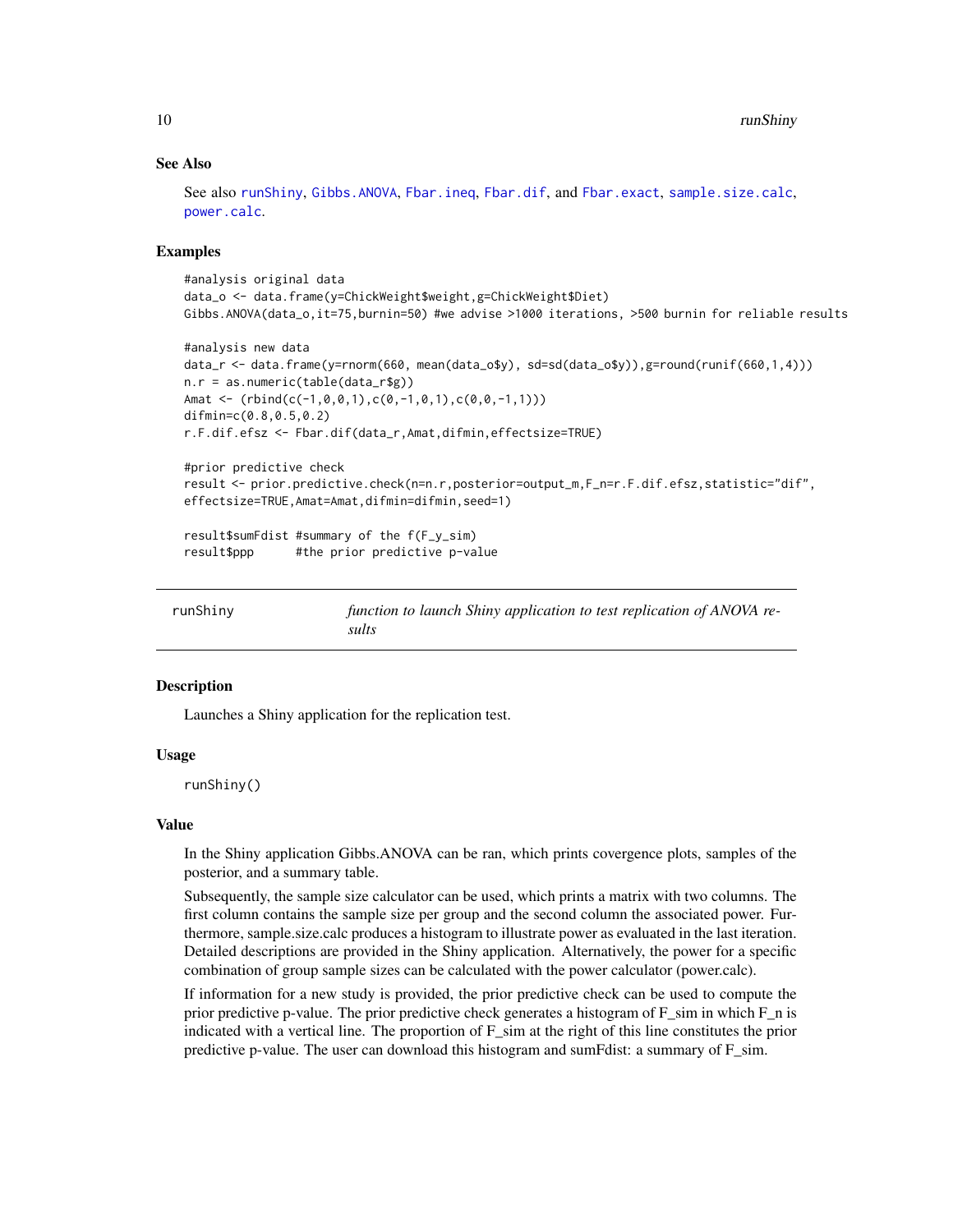## See Also

See also [runShiny](#page-9-1), [Gibbs.ANOVA](#page-4-1), [Fbar.ineq](#page-3-1), [Fbar.dif](#page-1-1), and [Fbar.exact](#page-2-1), [sample.size.calc](#page-10-1), [power.calc](#page-6-1).

## Examples

```
#analysis original data
data_o <- data.frame(y=ChickWeight$weight,g=ChickWeight$Diet)
Gibbs.ANOVA(data_o,it=75,burnin=50) #we advise >1000 iterations, >500 burnin for reliable results
#analysis new data
data_r <- data.frame(y=rnorm(660, mean(data_o$y), sd=sd(data_o$y)),g=round(runif(660,1,4)))
n.r = as.numeric(table(data_r$g))
Amat <- (rbind(c(-1, 0, 0, 1), c(0, -1, 0, 1), c(0, 0, -1, 1)))difmin=c(0.8,0.5,0.2)
r.F.dif.efsz <- Fbar.dif(data_r,Amat,difmin,effectsize=TRUE)
#prior predictive check
result <- prior.predictive.check(n=n.r,posterior=output_m,F_n=r.F.dif.efsz,statistic="dif",
effectsize=TRUE,Amat=Amat,difmin=difmin,seed=1)
result$sumFdist #summary of the f(F_y_sim)
result$ppp #the prior predictive p-value
```
<span id="page-9-1"></span>

| runShiny | function to launch Shiny application to test replication of ANOVA re- |
|----------|-----------------------------------------------------------------------|
|          | sults                                                                 |

#### Description

Launches a Shiny application for the replication test.

## Usage

runShiny()

#### Value

In the Shiny application Gibbs.ANOVA can be ran, which prints covergence plots, samples of the posterior, and a summary table.

Subsequently, the sample size calculator can be used, which prints a matrix with two columns. The first column contains the sample size per group and the second column the associated power. Furthermore, sample.size.calc produces a histogram to illustrate power as evaluated in the last iteration. Detailed descriptions are provided in the Shiny application. Alternatively, the power for a specific combination of group sample sizes can be calculated with the power calculator (power.calc).

If information for a new study is provided, the prior predictive check can be used to compute the prior predictive p-value. The prior predictive check generates a histogram of F\_sim in which F\_n is indicated with a vertical line. The proportion of  $F_s$  sim at the right of this line constitutes the prior predictive p-value. The user can download this histogram and sumFdist: a summary of  $F_s$ sim.

<span id="page-9-0"></span>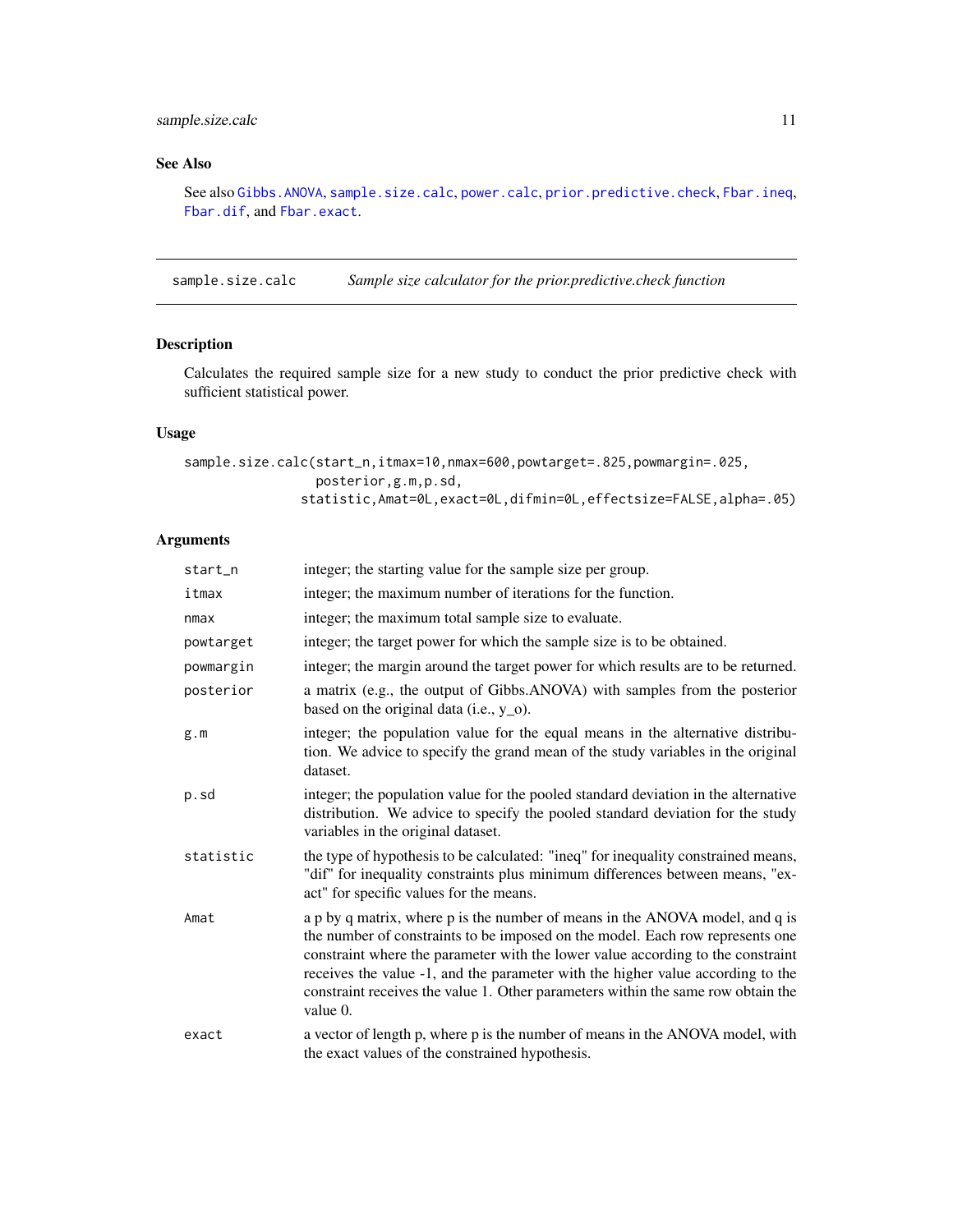## <span id="page-10-0"></span>sample.size.calc 11

## See Also

See also [Gibbs.ANOVA](#page-4-1), [sample.size.calc](#page-10-1), [power.calc](#page-6-1), [prior.predictive.check](#page-7-1), [Fbar.ineq](#page-3-1), [Fbar.dif](#page-1-1), and [Fbar.exact](#page-2-1).

<span id="page-10-1"></span>sample.size.calc *Sample size calculator for the prior.predictive.check function*

## Description

Calculates the required sample size for a new study to conduct the prior predictive check with sufficient statistical power.

## Usage

```
sample.size.calc(start_n,itmax=10,nmax=600,powtarget=.825,powmargin=.025,
                posterior,g.m,p.sd,
               statistic,Amat=0L,exact=0L,difmin=0L,effectsize=FALSE,alpha=.05)
```
## Arguments

| start_n   | integer; the starting value for the sample size per group.                                                                                                                                                                                                                                                                                                                                                                          |
|-----------|-------------------------------------------------------------------------------------------------------------------------------------------------------------------------------------------------------------------------------------------------------------------------------------------------------------------------------------------------------------------------------------------------------------------------------------|
| itmax     | integer; the maximum number of iterations for the function.                                                                                                                                                                                                                                                                                                                                                                         |
| nmax      | integer; the maximum total sample size to evaluate.                                                                                                                                                                                                                                                                                                                                                                                 |
| powtarget | integer; the target power for which the sample size is to be obtained.                                                                                                                                                                                                                                                                                                                                                              |
| powmargin | integer; the margin around the target power for which results are to be returned.                                                                                                                                                                                                                                                                                                                                                   |
| posterior | a matrix (e.g., the output of Gibbs.ANOVA) with samples from the posterior<br>based on the original data (i.e., $y_0$ ).                                                                                                                                                                                                                                                                                                            |
| g.m       | integer; the population value for the equal means in the alternative distribu-<br>tion. We advice to specify the grand mean of the study variables in the original<br>dataset.                                                                                                                                                                                                                                                      |
| p.sd      | integer; the population value for the pooled standard deviation in the alternative<br>distribution. We advice to specify the pooled standard deviation for the study<br>variables in the original dataset.                                                                                                                                                                                                                          |
| statistic | the type of hypothesis to be calculated: "ineq" for inequality constrained means,<br>"dif" for inequality constraints plus minimum differences between means, "ex-<br>act" for specific values for the means.                                                                                                                                                                                                                       |
| Amat      | a p by q matrix, where p is the number of means in the ANOVA model, and q is<br>the number of constraints to be imposed on the model. Each row represents one<br>constraint where the parameter with the lower value according to the constraint<br>receives the value -1, and the parameter with the higher value according to the<br>constraint receives the value 1. Other parameters within the same row obtain the<br>value 0. |
| exact     | a vector of length p, where p is the number of means in the ANOVA model, with<br>the exact values of the constrained hypothesis.                                                                                                                                                                                                                                                                                                    |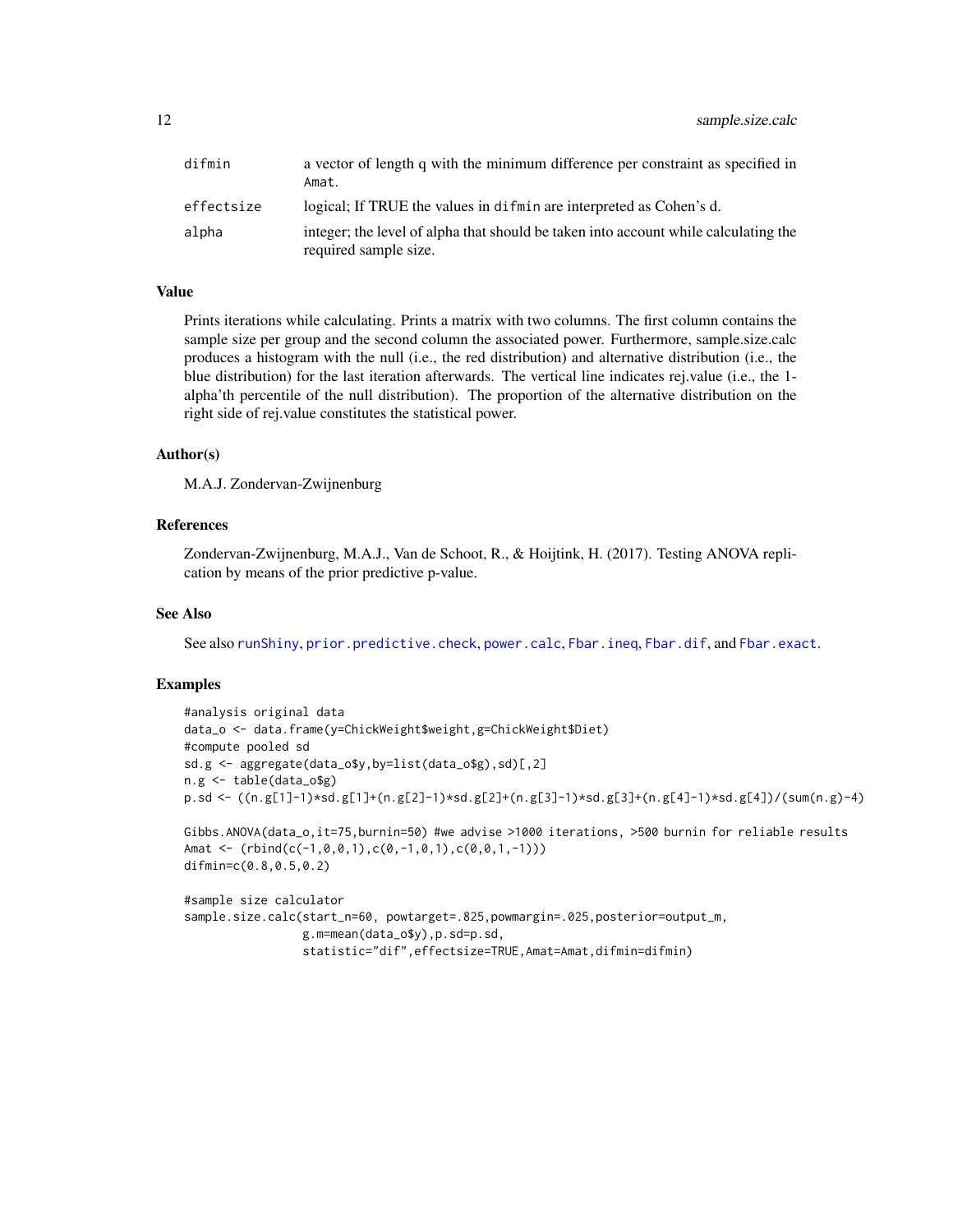<span id="page-11-0"></span>

| difmin     | a vector of length q with the minimum difference per constraint as specified in<br>Amat.                     |
|------------|--------------------------------------------------------------------------------------------------------------|
| effectsize | logical; If TRUE the values in difficit are interpreted as Cohen's d.                                        |
| alpha      | integer; the level of alpha that should be taken into account while calculating the<br>required sample size. |

## Value

Prints iterations while calculating. Prints a matrix with two columns. The first column contains the sample size per group and the second column the associated power. Furthermore, sample.size.calc produces a histogram with the null (i.e., the red distribution) and alternative distribution (i.e., the blue distribution) for the last iteration afterwards. The vertical line indicates rej.value (i.e., the 1 alpha'th percentile of the null distribution). The proportion of the alternative distribution on the right side of rej.value constitutes the statistical power.

## Author(s)

M.A.J. Zondervan-Zwijnenburg

## References

Zondervan-Zwijnenburg, M.A.J., Van de Schoot, R., & Hoijtink, H. (2017). Testing ANOVA replication by means of the prior predictive p-value.

## See Also

See also [runShiny](#page-9-1), [prior.predictive.check](#page-7-1), [power.calc](#page-6-1), [Fbar.ineq](#page-3-1), [Fbar.dif](#page-1-1), and [Fbar.exact](#page-2-1).

## Examples

```
#analysis original data
data_o <- data.frame(y=ChickWeight$weight,g=ChickWeight$Diet)
#compute pooled sd
sd.g <- aggregate(data_o$y,by=list(data_o$g),sd)[,2]
n.g <- table(data_o$g)
p.sd <- ((n.g[1]-1)*sd.g[1]+(n.g[2]-1)*sd.g[2]+(n.g[3]-1)*sd.g[3]+(n.g[4]-1)*sd.g[4])/(sum(n.g)-4)
```

```
Gibbs.ANOVA(data_o,it=75,burnin=50) #we advise >1000 iterations, >500 burnin for reliable results
Amat \leq (rbind(c(-1,0,0,1),c(0,-1,0,1),c(0,0,1,-1)))
difmin=c(0.8,0.5,0.2)
```

```
#sample size calculator
sample.size.calc(start_n=60, powtarget=.825,powmargin=.025,posterior=output_m,
                g.m=mean(data_o$y),p.sd=p.sd,
                statistic="dif",effectsize=TRUE,Amat=Amat,difmin=difmin)
```